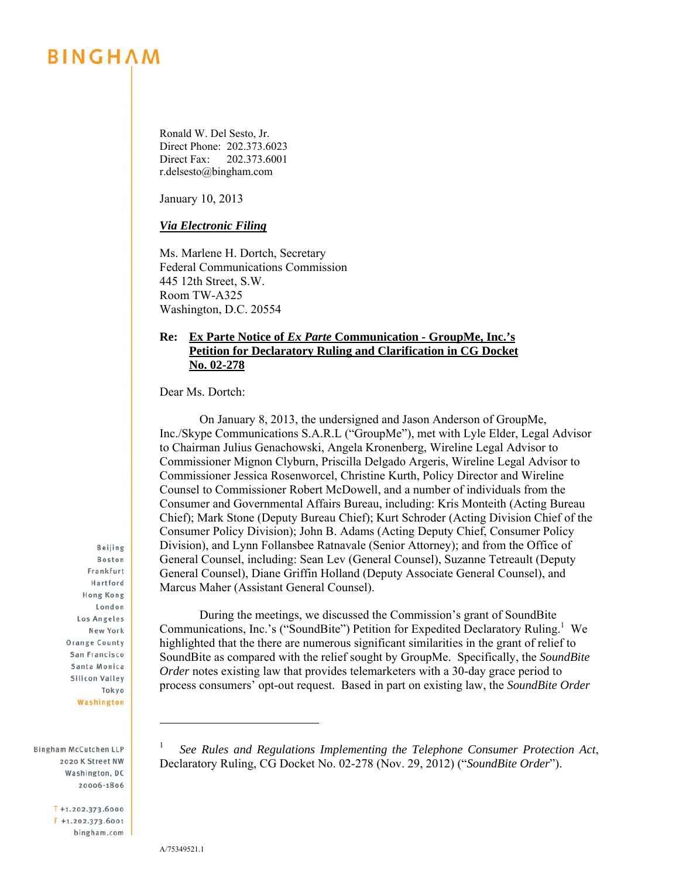## **BINGHAM**

Ronald W. Del Sesto, Jr. Direct Phone: 202.373.6023 Direct Fax: 202.373.6001 r.delsesto@bingham.com

January 10, 2013

*Via Electronic Filing* 

Ms. Marlene H. Dortch, Secretary Federal Communications Commission 445 12th Street, S.W. Room TW-A325 Washington, D.C. 20554

## **Re: Ex Parte Notice of** *Ex Parte* **Communication - GroupMe, Inc.'s Petition for Declaratory Ruling and Clarification in CG Docket No. 02-278**

Dear Ms. Dortch:

 On January 8, 2013, the undersigned and Jason Anderson of GroupMe, Inc./Skype Communications S.A.R.L ("GroupMe"), met with Lyle Elder, Legal Advisor to Chairman Julius Genachowski, Angela Kronenberg, Wireline Legal Advisor to Commissioner Mignon Clyburn, Priscilla Delgado Argeris, Wireline Legal Advisor to Commissioner Jessica Rosenworcel, Christine Kurth, Policy Director and Wireline Counsel to Commissioner Robert McDowell, and a number of individuals from the Consumer and Governmental Affairs Bureau, including: Kris Monteith (Acting Bureau Chief); Mark Stone (Deputy Bureau Chief); Kurt Schroder (Acting Division Chief of the Consumer Policy Division); John B. Adams (Acting Deputy Chief, Consumer Policy Division), and Lynn Follansbee Ratnavale (Senior Attorney); and from the Office of General Counsel, including: Sean Lev (General Counsel), Suzanne Tetreault (Deputy General Counsel), Diane Griffin Holland (Deputy Associate General Counsel), and Marcus Maher (Assistant General Counsel).

 During the meetings, we discussed the Commission's grant of SoundBite Communications, Inc.'s ("SoundBite") Petition for Expedited Declaratory Ruling.<sup>1</sup> We highlighted that the there are numerous significant similarities in the grant of relief to SoundBite as compared with the relief sought by GroupMe. Specifically, the *SoundBite Order* notes existing law that provides telemarketers with a 30-day grace period to process consumers' opt-out request. Based in part on existing law, the *SoundBite Order* 

**Boston** Frankfurt Hartford **Hong Kong** London Los Angeles New York **Orange County** San Francisco Santa Monica Silicon Valley Tokyo Washington

Beijing

Bingham McCutchen LLP 2020 K Street NW Washington, DC 20006-1806

> $T + 1.202.373.6000$  $F$  +1.202.373.6001 bingham.com

l 1 *See Rules and Regulations Implementing the Telephone Consumer Protection Act*, Declaratory Ruling, CG Docket No. 02-278 (Nov. 29, 2012) ("*SoundBite Order*").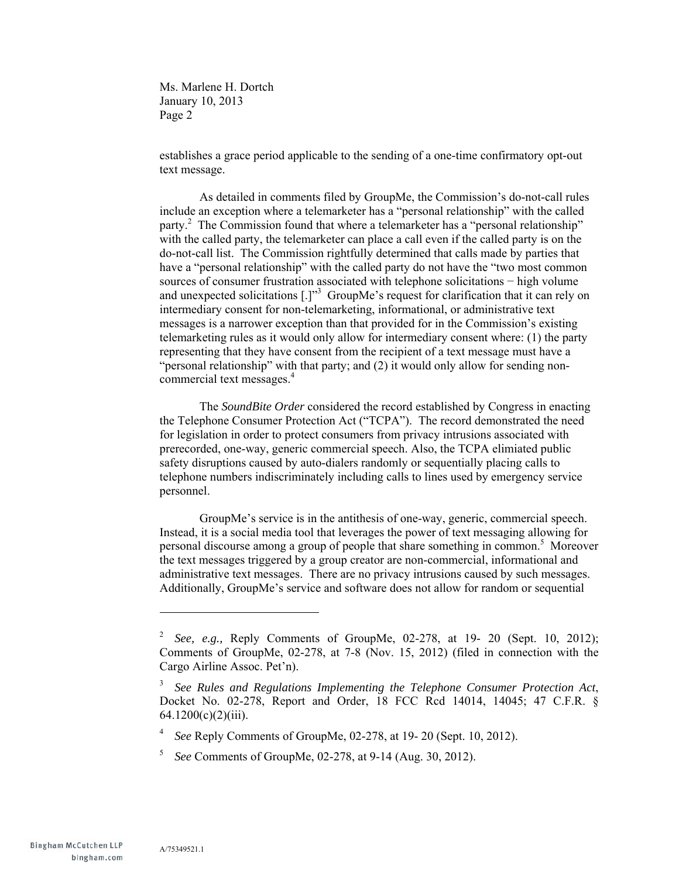Ms. Marlene H. Dortch January 10, 2013 Page 2

establishes a grace period applicable to the sending of a one-time confirmatory opt-out text message.

 As detailed in comments filed by GroupMe, the Commission's do-not-call rules include an exception where a telemarketer has a "personal relationship" with the called party.<sup>2</sup> The Commission found that where a telemarketer has a "personal relationship" with the called party, the telemarketer can place a call even if the called party is on the do-not-call list. The Commission rightfully determined that calls made by parties that have a "personal relationship" with the called party do not have the "two most common sources of consumer frustration associated with telephone solicitations − high volume and unexpected solicitations  $[.]^{3}$  GroupMe's request for clarification that it can rely on intermediary consent for non-telemarketing, informational, or administrative text messages is a narrower exception than that provided for in the Commission's existing telemarketing rules as it would only allow for intermediary consent where: (1) the party representing that they have consent from the recipient of a text message must have a "personal relationship" with that party; and (2) it would only allow for sending noncommercial text messages.<sup>4</sup>

 The *SoundBite Order* considered the record established by Congress in enacting the Telephone Consumer Protection Act ("TCPA"). The record demonstrated the need for legislation in order to protect consumers from privacy intrusions associated with prerecorded, one-way, generic commercial speech. Also, the TCPA elimiated public safety disruptions caused by auto-dialers randomly or sequentially placing calls to telephone numbers indiscriminately including calls to lines used by emergency service personnel.

 GroupMe's service is in the antithesis of one-way, generic, commercial speech. Instead, it is a social media tool that leverages the power of text messaging allowing for personal discourse among a group of people that share something in common.<sup>5</sup> Moreover the text messages triggered by a group creator are non-commercial, informational and administrative text messages. There are no privacy intrusions caused by such messages. Additionally, GroupMe's service and software does not allow for random or sequential

l

<sup>2</sup> *See, e.g.,* Reply Comments of GroupMe, 02-278, at 19- 20 (Sept. 10, 2012); Comments of GroupMe, 02-278, at 7-8 (Nov. 15, 2012) (filed in connection with the Cargo Airline Assoc. Pet'n).

<sup>3</sup> *See Rules and Regulations Implementing the Telephone Consumer Protection Act*, Docket No. 02-278, Report and Order, 18 FCC Rcd 14014, 14045; 47 C.F.R. § 64.1200(c)(2)(iii).

<sup>4</sup> *See* Reply Comments of GroupMe, 02-278, at 19- 20 (Sept. 10, 2012).

<sup>5</sup> *See* Comments of GroupMe, 02-278, at 9-14 (Aug. 30, 2012).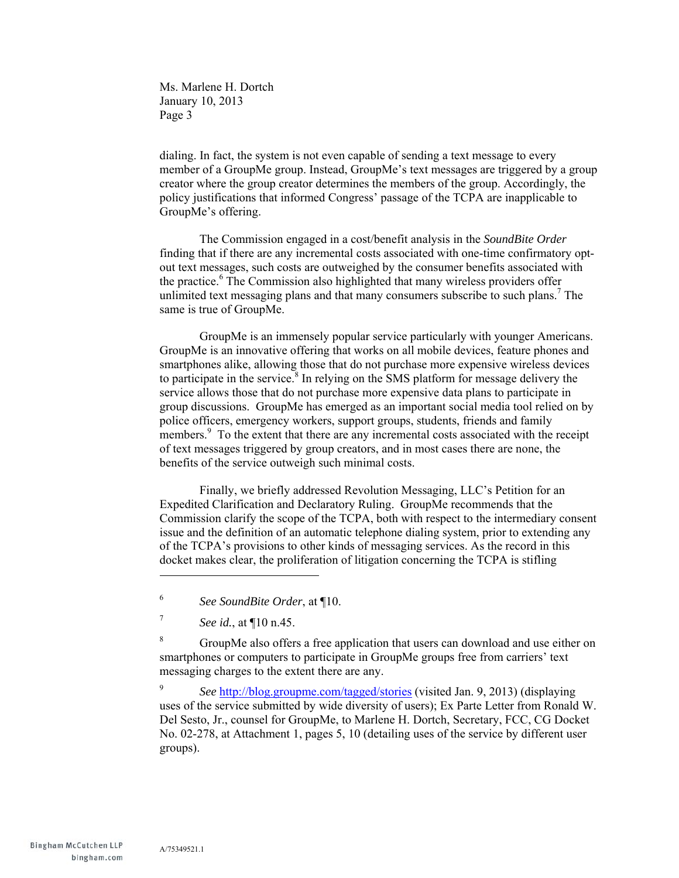Ms. Marlene H. Dortch January 10, 2013 Page 3

dialing. In fact, the system is not even capable of sending a text message to every member of a GroupMe group. Instead, GroupMe's text messages are triggered by a group creator where the group creator determines the members of the group. Accordingly, the policy justifications that informed Congress' passage of the TCPA are inapplicable to GroupMe's offering.

 The Commission engaged in a cost/benefit analysis in the *SoundBite Order* finding that if there are any incremental costs associated with one-time confirmatory optout text messages, such costs are outweighed by the consumer benefits associated with the practice.<sup>6</sup> The Commission also highlighted that many wireless providers offer unlimited text messaging plans and that many consumers subscribe to such plans.<sup>7</sup> The same is true of GroupMe.

 GroupMe is an immensely popular service particularly with younger Americans. GroupMe is an innovative offering that works on all mobile devices, feature phones and smartphones alike, allowing those that do not purchase more expensive wireless devices to participate in the service. $8$  In relying on the SMS platform for message delivery the service allows those that do not purchase more expensive data plans to participate in group discussions. GroupMe has emerged as an important social media tool relied on by police officers, emergency workers, support groups, students, friends and family members.<sup>9</sup> To the extent that there are any incremental costs associated with the receipt of text messages triggered by group creators, and in most cases there are none, the benefits of the service outweigh such minimal costs.

 Finally, we briefly addressed Revolution Messaging, LLC's Petition for an Expedited Clarification and Declaratory Ruling. GroupMe recommends that the Commission clarify the scope of the TCPA, both with respect to the intermediary consent issue and the definition of an automatic telephone dialing system, prior to extending any of the TCPA's provisions to other kinds of messaging services. As the record in this docket makes clear, the proliferation of litigation concerning the TCPA is stifling

l

8 GroupMe also offers a free application that users can download and use either on smartphones or computers to participate in GroupMe groups free from carriers' text messaging charges to the extent there are any.

9 *See* http://blog.groupme.com/tagged/stories (visited Jan. 9, 2013) (displaying uses of the service submitted by wide diversity of users); Ex Parte Letter from Ronald W. Del Sesto, Jr., counsel for GroupMe, to Marlene H. Dortch, Secretary, FCC, CG Docket No. 02-278, at Attachment 1, pages 5, 10 (detailing uses of the service by different user groups).

<sup>6</sup> *See SoundBite Order*, at ¶10.

<sup>7</sup> *See id.*, at ¶10 n.45.